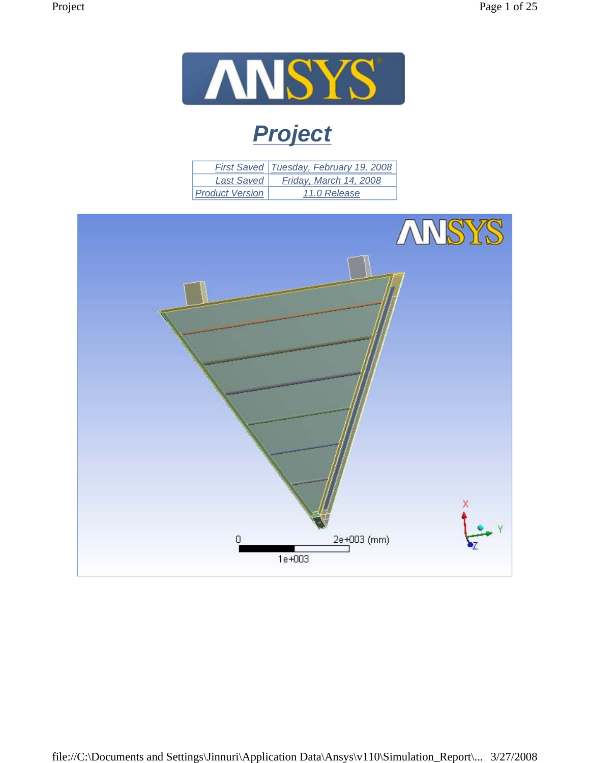

# *Project*

|                        | First Saved   Tuesday, February 19, 2008 |
|------------------------|------------------------------------------|
| <b>Last Saved</b>      | Friday, March 14, 2008                   |
| <b>Product Version</b> | 11.0 Release                             |

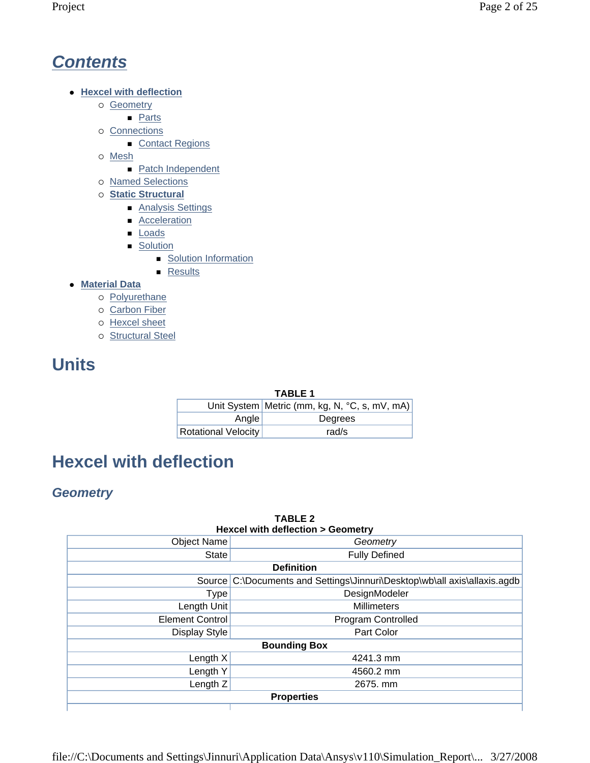## *Contents*

- **Hexcel with deflection** 
	- o Geometry
		- **Parts**
	- $\circ$  Connections
		- Contact Regions
	- o Mesh
		- Patch Independent
	- { Named Selections
	- { **Static Structural**
		- Analysis Settings
		- **Acceleration**
		- **Loads**
		- **Solution** 
			- **Solution Information**
			- **Results**
- **Material Data** 
	- o Polyurethane
	- o Carbon Fiber
	- { Hexcel sheet
	- o Structural Steel

# **Units**

#### **TABLE 1**

|                            | Unit System   Metric (mm, kg, N, °C, s, mV, mA) |
|----------------------------|-------------------------------------------------|
| Angle                      | Degrees                                         |
| <b>Rotational Velocity</b> | rad/s                                           |

**TABLE 2** 

# **Hexcel with deflection**

## *Geometry*

| <b>Hexcel with deflection &gt; Geometry</b> |                                                                           |  |  |  |
|---------------------------------------------|---------------------------------------------------------------------------|--|--|--|
| <b>Object Name</b>                          | Geometry                                                                  |  |  |  |
| State                                       | <b>Fully Defined</b>                                                      |  |  |  |
|                                             | <b>Definition</b>                                                         |  |  |  |
|                                             | Source C:\Documents and Settings\Jinnuri\Desktop\wb\all axis\allaxis.agdb |  |  |  |
| <b>Type</b>                                 | DesignModeler                                                             |  |  |  |
| Length Unit                                 | <b>Millimeters</b>                                                        |  |  |  |
| <b>Element Control</b>                      | Program Controlled                                                        |  |  |  |
| Display Style                               | Part Color                                                                |  |  |  |
|                                             | <b>Bounding Box</b>                                                       |  |  |  |
| Length $X$                                  | 4241.3 mm                                                                 |  |  |  |
| Length Y                                    | 4560.2 mm                                                                 |  |  |  |
| Length $Z$                                  | 2675. mm                                                                  |  |  |  |
|                                             | <b>Properties</b>                                                         |  |  |  |
|                                             |                                                                           |  |  |  |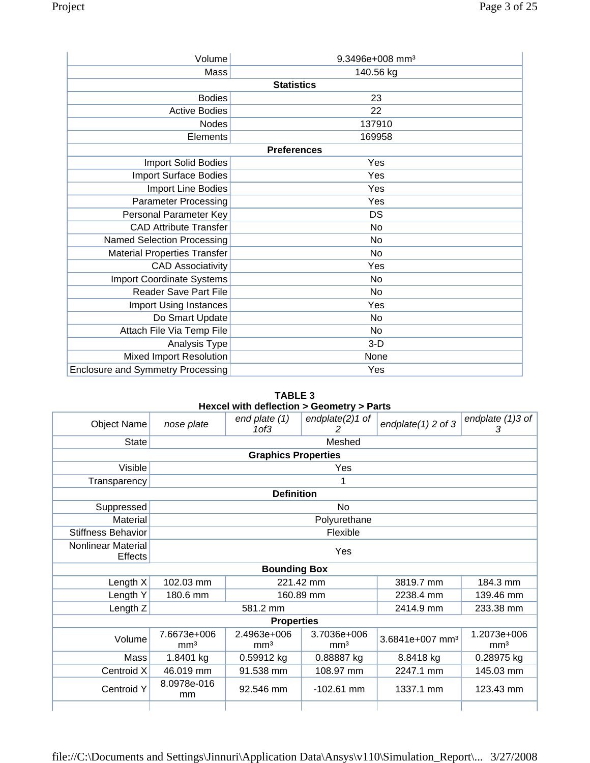| Volume                                   | 9.3496e+008 mm <sup>3</sup> |
|------------------------------------------|-----------------------------|
| Mass                                     | 140.56 kg                   |
|                                          | <b>Statistics</b>           |
| <b>Bodies</b>                            | 23                          |
| <b>Active Bodies</b>                     | 22                          |
| Nodes                                    | 137910                      |
| Elements                                 | 169958                      |
|                                          | <b>Preferences</b>          |
| Import Solid Bodies                      | Yes                         |
| <b>Import Surface Bodies</b>             | Yes                         |
| Import Line Bodies                       | Yes                         |
| <b>Parameter Processing</b>              | Yes                         |
| Personal Parameter Key                   | DS                          |
| <b>CAD Attribute Transfer</b>            | No                          |
| <b>Named Selection Processing</b>        | No                          |
| <b>Material Properties Transfer</b>      | No                          |
| <b>CAD Associativity</b>                 | Yes                         |
| <b>Import Coordinate Systems</b>         | No                          |
| <b>Reader Save Part File</b>             | No                          |
| Import Using Instances                   | Yes                         |
| Do Smart Update                          | No                          |
| Attach File Via Temp File                | No                          |
| Analysis Type                            | $3-D$                       |
| <b>Mixed Import Resolution</b>           | None                        |
| <b>Enclosure and Symmetry Processing</b> | Yes                         |

**TABLE 3 Hexcel with deflection > Geometry > Parts** 

| <b>Object Name</b>                   | nose plate                     | end plate (1)<br>1 <sub>0</sub> f <sub>3</sub>                   | endplate(2)1 of<br>2 | endplate $(1)$ 2 of 3 | endplate $(1)3$ of<br>3        |
|--------------------------------------|--------------------------------|------------------------------------------------------------------|----------------------|-----------------------|--------------------------------|
| <b>State</b>                         |                                |                                                                  | Meshed               |                       |                                |
|                                      |                                | <b>Graphics Properties</b>                                       |                      |                       |                                |
| Visible                              |                                |                                                                  | Yes                  |                       |                                |
| Transparency                         |                                |                                                                  |                      |                       |                                |
|                                      |                                | <b>Definition</b>                                                |                      |                       |                                |
| Suppressed                           |                                |                                                                  | No                   |                       |                                |
| Material                             |                                |                                                                  | Polyurethane         |                       |                                |
| <b>Stiffness Behavior</b>            |                                |                                                                  | Flexible             |                       |                                |
| Nonlinear Material<br><b>Effects</b> |                                |                                                                  | Yes                  |                       |                                |
|                                      |                                | <b>Bounding Box</b>                                              |                      |                       |                                |
| Length $X$                           | 102.03 mm                      |                                                                  | 221.42 mm            | 3819.7 mm             | 184.3 mm                       |
| Length Y                             | 180.6 mm                       |                                                                  | 160.89 mm            | 2238.4 mm             | 139.46 mm                      |
| Length Z                             |                                | 581.2 mm                                                         |                      | 2414.9 mm             | 233.38 mm                      |
|                                      |                                | <b>Properties</b>                                                |                      |                       |                                |
| Volume                               | 7.6673e+006<br>mm <sup>3</sup> | 2.4963e+006<br>3.7036e+006<br>mm <sup>3</sup><br>mm <sup>3</sup> |                      |                       | 1.2073e+006<br>mm <sup>3</sup> |
| Mass                                 | 1.8401 kg                      | 0.59912 kg                                                       | 0.88887 kg           | 8.8418 kg             | 0.28975 kg                     |
| Centroid X                           | 46.019 mm                      | 91.538 mm                                                        | 108.97 mm            | 2247.1 mm             | 145.03 mm                      |
| <b>Centroid Y</b>                    | 8.0978e-016<br>mm              | 92.546 mm                                                        | $-102.61$ mm         | 1337.1 mm             | 123.43 mm                      |
|                                      |                                |                                                                  |                      |                       |                                |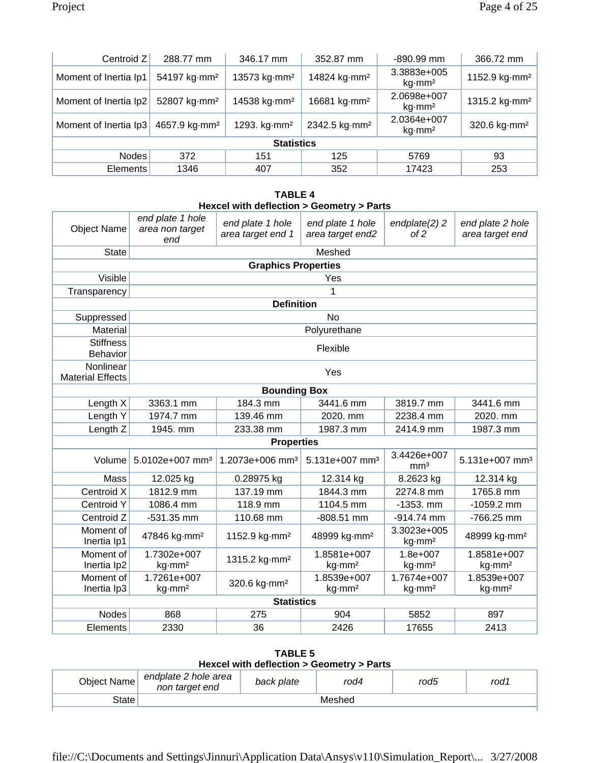| Centroid Z            | 288.77 mm                 | 346.17 mm                | 352.87 mm                 | -890.99 mm                               | 366.72 mm                 |
|-----------------------|---------------------------|--------------------------|---------------------------|------------------------------------------|---------------------------|
| Moment of Inertia Ip1 | 54197 kg mm <sup>2</sup>  | 13573 kg·mm <sup>2</sup> | 14824 kg·mm <sup>2</sup>  | 3.3883e+005<br>kg·mm²                    | 1152.9 kg mm <sup>2</sup> |
| Moment of Inertia Ip2 | 52807 kg·mm <sup>2</sup>  | 14538 kg·mm <sup>2</sup> | 16681 kg·mm <sup>2</sup>  | 2.0698e+007<br>$kg\cdot$ mm <sup>2</sup> | 1315.2 kg mm <sup>2</sup> |
| Moment of Inertia Ip3 | 4657.9 kg mm <sup>2</sup> | 1293. kg mm <sup>2</sup> | 2342.5 kg mm <sup>2</sup> | 2.0364e+007<br>$kg\cdot$ mm <sup>2</sup> | 320.6 kg mm <sup>2</sup>  |
| <b>Statistics</b>     |                           |                          |                           |                                          |                           |
| <b>Nodes</b>          | 372                       | 151                      | 125                       | 5769                                     | 93                        |
| <b>Elements</b>       | 1346                      | 407                      | 352                       | 17423                                    | 253                       |

#### **TABLE 4 Hexcel with deflection > Geometry > Parts**

| <b>Object Name</b>                   | end plate 1 hole<br>area non target<br>end | end plate 1 hole<br>area target end 1 | end plate 1 hole<br>area target end2 | endplate(2) 2<br>of 2              | end plate 2 hole<br>area target end |
|--------------------------------------|--------------------------------------------|---------------------------------------|--------------------------------------|------------------------------------|-------------------------------------|
| <b>State</b>                         |                                            |                                       | Meshed                               |                                    |                                     |
|                                      |                                            | <b>Graphics Properties</b>            |                                      |                                    |                                     |
| Visible                              |                                            |                                       | Yes                                  |                                    |                                     |
| Transparency                         |                                            |                                       | 1                                    |                                    |                                     |
|                                      |                                            | <b>Definition</b>                     |                                      |                                    |                                     |
| Suppressed                           |                                            |                                       | <b>No</b>                            |                                    |                                     |
| Material                             |                                            |                                       | Polyurethane                         |                                    |                                     |
| <b>Stiffness</b><br>Behavior         |                                            |                                       | Flexible                             |                                    |                                     |
| Nonlinear<br><b>Material Effects</b> |                                            |                                       | Yes                                  |                                    |                                     |
|                                      |                                            | <b>Bounding Box</b>                   |                                      |                                    |                                     |
| Length X                             | 3363.1 mm                                  | 184.3 mm                              | 3441.6 mm                            | 3819.7 mm                          | 3441.6 mm                           |
| Length Y                             | 1974.7 mm                                  | 139.46 mm                             | 2020. mm                             | 2238.4 mm                          | 2020. mm                            |
| Length <sub>Z</sub>                  | 1945. mm                                   | 233.38 mm                             | 1987.3 mm                            | 2414.9 mm                          | 1987.3 mm                           |
|                                      |                                            | <b>Properties</b>                     |                                      |                                    |                                     |
| Volume                               | 5.0102e+007 mm <sup>3</sup>                | 1.2073e+006 mm <sup>3</sup>           | 5.131e+007 mm <sup>3</sup>           | 3.4426e+007<br>mm <sup>3</sup>     | 5.131e+007 mm <sup>3</sup>          |
| Mass                                 | 12.025 kg                                  | 0.28975 kg                            | 12.314 kg                            | 8.2623 kg                          | 12.314 kg                           |
| Centroid X                           | 1812.9 mm                                  | 137.19 mm                             | 1844.3 mm                            | 2274.8 mm                          | 1765.8 mm                           |
| Centroid Y                           | 1086.4 mm                                  | 118.9 mm                              | 1104.5 mm                            | $-1353.$ mm                        | $-1059.2$ mm                        |
| Centroid Z                           | $-531.35$ mm                               | 110.68 mm                             | $-808.51$ mm                         | $-914.74$ mm                       | -766.25 mm                          |
| Moment of<br>Inertia Ip1             | 47846 kg·mm <sup>2</sup>                   | 1152.9 kg mm <sup>2</sup>             | 48999 kg·mm <sup>2</sup>             | 3.3023e+005<br>kg·mm <sup>2</sup>  | 48999 kg·mm <sup>2</sup>            |
| Moment of<br>Inertia Ip2             | 1.7302e+007<br>kg·mm <sup>2</sup>          | 1315.2 kg·mm <sup>2</sup>             | 1.8581e+007<br>kg·mm <sup>2</sup>    | $1.8e + 007$<br>kg·mm <sup>2</sup> | 1.8581e+007<br>kg·mm <sup>2</sup>   |
| Moment of                            | 1.7261e+007                                | 320.6 kg·mm <sup>2</sup>              | 1.8539e+007                          | 1.7674e+007                        | 1.8539e+007                         |
| Inertia Ip3                          | kg·mm <sup>2</sup>                         |                                       | kg·mm <sup>2</sup>                   | kg·mm <sup>2</sup>                 | kg·mm <sup>2</sup>                  |
|                                      |                                            | <b>Statistics</b>                     |                                      |                                    |                                     |
| <b>Nodes</b>                         | 868                                        | 275                                   | 904                                  | 5852                               | 897                                 |
| Elements                             | 2330                                       | 36                                    | 2426                                 | 17655                              | 2413                                |

**TABLE 5 Hexcel with deflection > Geometry > Parts** 

| Object Name | endplate 2 hole area<br>non target end | back plate | rod4   | rod5 | rod 1 |
|-------------|----------------------------------------|------------|--------|------|-------|
| State       |                                        |            | Meshed |      |       |
|             |                                        |            |        |      |       |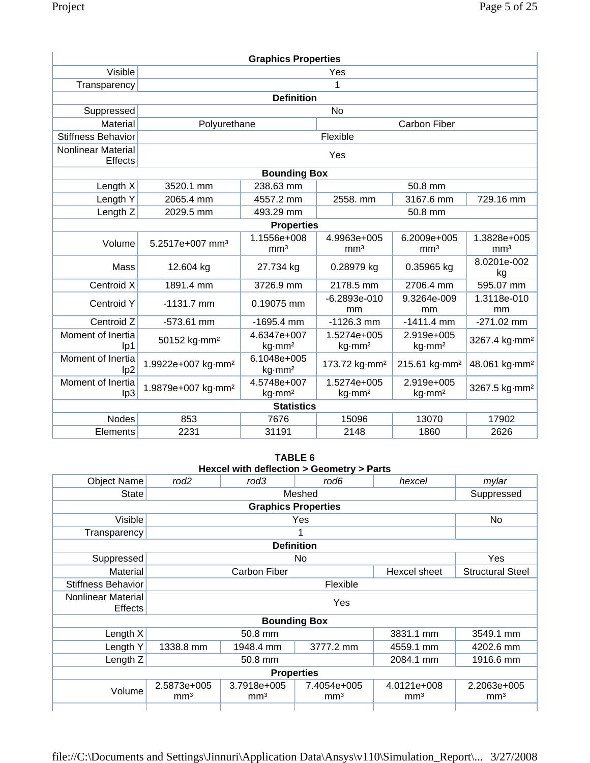| <b>Graphics Properties</b>           |                                |                                                                                                                                         |                                   |                                         |                                |  |  |
|--------------------------------------|--------------------------------|-----------------------------------------------------------------------------------------------------------------------------------------|-----------------------------------|-----------------------------------------|--------------------------------|--|--|
| Visible                              |                                | Yes                                                                                                                                     |                                   |                                         |                                |  |  |
| Transparency                         |                                |                                                                                                                                         | 1                                 |                                         |                                |  |  |
|                                      |                                | <b>Definition</b>                                                                                                                       |                                   |                                         |                                |  |  |
| Suppressed                           |                                |                                                                                                                                         | <b>No</b>                         |                                         |                                |  |  |
| <b>Material</b>                      | Polyurethane                   |                                                                                                                                         |                                   | <b>Carbon Fiber</b>                     |                                |  |  |
| <b>Stiffness Behavior</b>            |                                |                                                                                                                                         | Flexible                          |                                         |                                |  |  |
| Nonlinear Material<br><b>Effects</b> |                                |                                                                                                                                         | Yes                               |                                         |                                |  |  |
|                                      |                                | <b>Bounding Box</b>                                                                                                                     |                                   |                                         |                                |  |  |
| Length X                             | 3520.1 mm                      | 238.63 mm                                                                                                                               |                                   | 50.8 mm                                 |                                |  |  |
| Length Y                             | 2065.4 mm                      | 4557.2 mm                                                                                                                               | 2558. mm                          | 3167.6 mm                               | 729.16 mm                      |  |  |
| Length Z                             | 2029.5 mm                      | 493.29 mm                                                                                                                               |                                   | 50.8 mm                                 |                                |  |  |
|                                      |                                | <b>Properties</b>                                                                                                                       |                                   |                                         |                                |  |  |
| Volume                               | 5.2517e+007 mm <sup>3</sup>    | 1.1556e+008<br>mm <sup>3</sup>                                                                                                          | 4.9963e+005<br>mm <sup>3</sup>    | 6.2009e+005<br>mm <sup>3</sup>          | 1.3828e+005<br>mm <sup>3</sup> |  |  |
| Mass                                 | 12.604 kg                      | 27.734 kg                                                                                                                               | 0.28979 kg                        | 0.35965 kg                              | 8.0201e-002<br>kg              |  |  |
| Centroid X                           | 1891.4 mm                      | 3726.9 mm                                                                                                                               | 2178.5 mm                         | 2706.4 mm                               | 595.07 mm                      |  |  |
| <b>Centroid Y</b>                    | $-1131.7$ mm                   | 0.19075 mm                                                                                                                              | $-6.2893e-010$<br>mm              | 9.3264e-009<br>mm                       | 1.3118e-010<br>mm              |  |  |
| Centroid Z                           | $-573.61$ mm                   | $-1695.4$ mm                                                                                                                            | $-1126.3$ mm                      | $-1411.4$ mm                            | $-271.02$ mm                   |  |  |
| Moment of Inertia<br>lp1             | 50152 kg·mm <sup>2</sup>       | 4.6347e+007<br>1.5274e+005<br>2.919e+005<br>3267.4 kg·mm <sup>2</sup><br>kg·mm <sup>2</sup><br>kg·mm <sup>2</sup><br>kg·mm <sup>2</sup> |                                   |                                         |                                |  |  |
| Moment of Inertia<br>lp <sub>2</sub> | 1.9922e+007 kg·mm <sup>2</sup> | 6.1048e+005<br>kg·mm <sup>2</sup>                                                                                                       | 173.72 kg mm <sup>2</sup>         | 215.61 kg mm <sup>2</sup>               | 48.061 kg·mm <sup>2</sup>      |  |  |
| Moment of Inertia<br>lp3             | 1.9879e+007 kg·mm <sup>2</sup> | 4.5748e+007<br>kg·mm <sup>2</sup>                                                                                                       | 1.5274e+005<br>kg-mm <sup>2</sup> | 2.919e+005<br>$kg\cdot$ mm <sup>2</sup> | 3267.5 kg·mm <sup>2</sup>      |  |  |
|                                      |                                | <b>Statistics</b>                                                                                                                       |                                   |                                         |                                |  |  |
| <b>Nodes</b>                         | 853                            | 7676                                                                                                                                    | 15096                             | 13070                                   | 17902                          |  |  |
| Elements                             | 2231                           | 31191                                                                                                                                   | 2148                              | 1860                                    | 2626                           |  |  |

**TABLE 6 Hexcel with deflection > Geometry > Parts** 

| <b>Object Name</b>                          | rod <sub>2</sub>               | rod3                           | rod6                           | hexcel                         | mylar                          |  |  |
|---------------------------------------------|--------------------------------|--------------------------------|--------------------------------|--------------------------------|--------------------------------|--|--|
| <b>State</b><br>Meshed                      |                                |                                |                                |                                | Suppressed                     |  |  |
|                                             | <b>Graphics Properties</b>     |                                |                                |                                |                                |  |  |
| Visible                                     |                                |                                | Yes                            |                                | No                             |  |  |
| Transparency                                |                                |                                | 1                              |                                |                                |  |  |
|                                             |                                |                                | <b>Definition</b>              |                                |                                |  |  |
| Suppressed                                  |                                |                                | No                             |                                | Yes                            |  |  |
| Material                                    |                                | <b>Carbon Fiber</b>            |                                | Hexcel sheet                   | <b>Structural Steel</b>        |  |  |
| <b>Stiffness Behavior</b>                   |                                |                                | Flexible                       |                                |                                |  |  |
| <b>Nonlinear Material</b><br><b>Effects</b> |                                | Yes                            |                                |                                |                                |  |  |
|                                             |                                |                                | <b>Bounding Box</b>            |                                |                                |  |  |
| Length X                                    |                                | 50.8 mm                        |                                | 3831.1 mm                      | 3549.1 mm                      |  |  |
| Length Y                                    | 1338.8 mm                      | 1948.4 mm                      | 3777.2 mm                      | 4559.1 mm                      | 4202.6 mm                      |  |  |
| Length Z                                    |                                | 1916.6 mm                      |                                |                                |                                |  |  |
| <b>Properties</b>                           |                                |                                |                                |                                |                                |  |  |
| Volume                                      | 2.5873e+005<br>mm <sup>3</sup> | 3.7918e+005<br>mm <sup>3</sup> | 7.4054e+005<br>mm <sup>3</sup> | 4.0121e+008<br>mm <sup>3</sup> | 2.2063e+005<br>mm <sup>3</sup> |  |  |
|                                             |                                |                                |                                |                                |                                |  |  |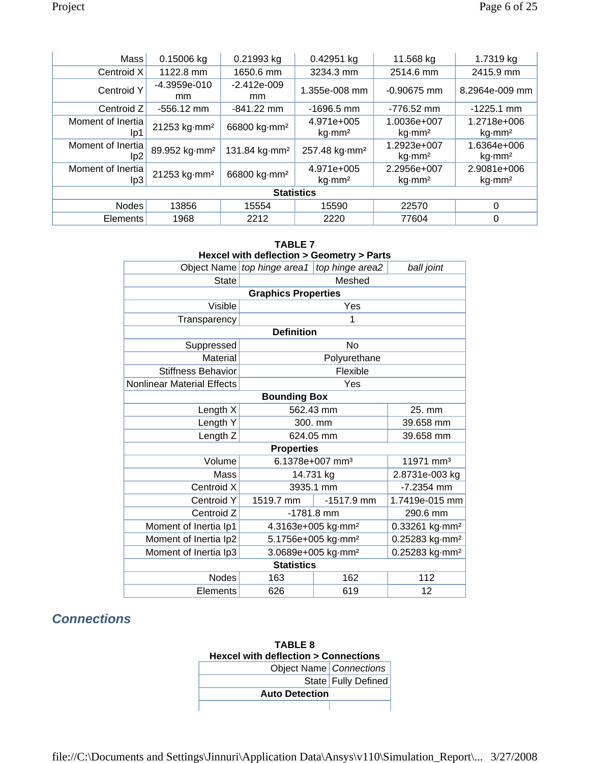| Mass                     | 0.15006 kg                | 0.21993 kg                | 0.42951 kg                              | 11.568 kg                                | 1.7319 kg                     |  |
|--------------------------|---------------------------|---------------------------|-----------------------------------------|------------------------------------------|-------------------------------|--|
| Centroid X               | 1122.8 mm                 | 1650.6 mm                 | 3234.3 mm                               | 2514.6 mm                                | 2415.9 mm                     |  |
| <b>Centroid Y</b>        | $-4.3959e-010$<br>mm.     | $-2.412e-009$<br>mm.      | 1.355e-008 mm                           | $-0.90675$ mm                            | 8.2964e-009 mm                |  |
| Centroid Z               | $-556.12$ mm              | $-841.22$ mm              | $-1696.5$ mm                            | $-776.52$ mm                             | $-1225.1$ mm                  |  |
| Moment of Inertia<br>lp1 | 21253 kg·mm <sup>2</sup>  | 66800 kg·mm <sup>2</sup>  | 4.971e+005<br>$kg\cdot$ mm <sup>2</sup> | 1.0036e+007<br>$kg\cdot$ mm <sup>2</sup> | 1.2718e+006<br>kg·mm²         |  |
| Moment of Inertia<br>lp2 | 89.952 kg·mm <sup>2</sup> | 131.84 kg mm <sup>2</sup> | 257.48 kg mm <sup>2</sup>               | 1.2923e+007<br>$kg\cdot mm^2$            | 1.6364e+006<br>kg·mm²         |  |
| Moment of Inertia<br>lp3 | 21253 kg·mm <sup>2</sup>  | 66800 kg·mm <sup>2</sup>  | 4.971e+005<br>$kg\cdot$ mm <sup>2</sup> | 2.2956e+007<br>$kg\cdot$ mm <sup>2</sup> | 2.9081e+006<br>$kg\cdot mm^2$ |  |
| <b>Statistics</b>        |                           |                           |                                         |                                          |                               |  |
| <b>Nodes</b>             | 13856                     | 15554                     | 15590                                   | 22570                                    | 0                             |  |
| <b>Elements</b>          | 1968                      | 2212                      | 2220                                    | 77604                                    | 0                             |  |

| <b>TABLE 7</b><br>Hexcel with deflection > Geometry > Parts |                                                              |                                |                            |  |  |  |
|-------------------------------------------------------------|--------------------------------------------------------------|--------------------------------|----------------------------|--|--|--|
|                                                             | Object Name top hinge area1                                  | top hinge area2                | ball joint                 |  |  |  |
| <b>State</b>                                                |                                                              | Meshed                         |                            |  |  |  |
|                                                             | <b>Graphics Properties</b>                                   |                                |                            |  |  |  |
| Visible                                                     |                                                              | Yes                            |                            |  |  |  |
| Transparency                                                |                                                              | 1                              |                            |  |  |  |
|                                                             | <b>Definition</b>                                            |                                |                            |  |  |  |
| Suppressed                                                  |                                                              | No                             |                            |  |  |  |
| Material                                                    |                                                              | Polyurethane                   |                            |  |  |  |
| <b>Stiffness Behavior</b>                                   |                                                              | Flexible                       |                            |  |  |  |
| <b>Nonlinear Material Effects</b>                           | Yes                                                          |                                |                            |  |  |  |
| <b>Bounding Box</b>                                         |                                                              |                                |                            |  |  |  |
| Length X                                                    | 562.43 mm                                                    |                                | 25. mm                     |  |  |  |
| Length Y                                                    |                                                              | 300. mm                        | 39.658 mm                  |  |  |  |
| Length Z                                                    | 624.05 mm                                                    |                                | 39.658 mm                  |  |  |  |
|                                                             | <b>Properties</b>                                            |                                |                            |  |  |  |
| Volume                                                      |                                                              | 6.1378e+007 mm <sup>3</sup>    | 11971 mm <sup>3</sup>      |  |  |  |
| Mass                                                        |                                                              | 14.731 kg                      | 2.8731e-003 kg             |  |  |  |
| Centroid X                                                  | 3935.1 mm                                                    |                                | $-7.2354$ mm               |  |  |  |
| Centroid Y                                                  | 1519.7 mm                                                    | $-1517.9$ mm                   | 1.7419e-015 mm             |  |  |  |
| Centroid Z                                                  |                                                              | $-1781.8$ mm                   | 290.6 mm                   |  |  |  |
| Moment of Inertia Ip1                                       |                                                              | 4.3163e+005 kg·mm <sup>2</sup> | 0.33261 kg-mm <sup>2</sup> |  |  |  |
| Moment of Inertia Ip2                                       | 5.1756e+005 kg·mm <sup>2</sup><br>0.25283 kg·mm <sup>2</sup> |                                |                            |  |  |  |
| Moment of Inertia Ip3                                       | 3.0689e+005 kg·mm <sup>2</sup><br>0.25283 kg·mm <sup>2</sup> |                                |                            |  |  |  |
|                                                             | <b>Statistics</b>                                            |                                |                            |  |  |  |
| <b>Nodes</b>                                                | 163                                                          | 162                            | 112                        |  |  |  |
| Elements                                                    | 626                                                          | 619                            | 12                         |  |  |  |

## *Connections*

| <b>TABLE 8</b>                                 |                       |  |  |
|------------------------------------------------|-----------------------|--|--|
| <b>Hexcel with deflection &gt; Connections</b> |                       |  |  |
| Object Name   Connections                      |                       |  |  |
|                                                | State   Fully Defined |  |  |
| <b>Auto Detection</b>                          |                       |  |  |
|                                                |                       |  |  |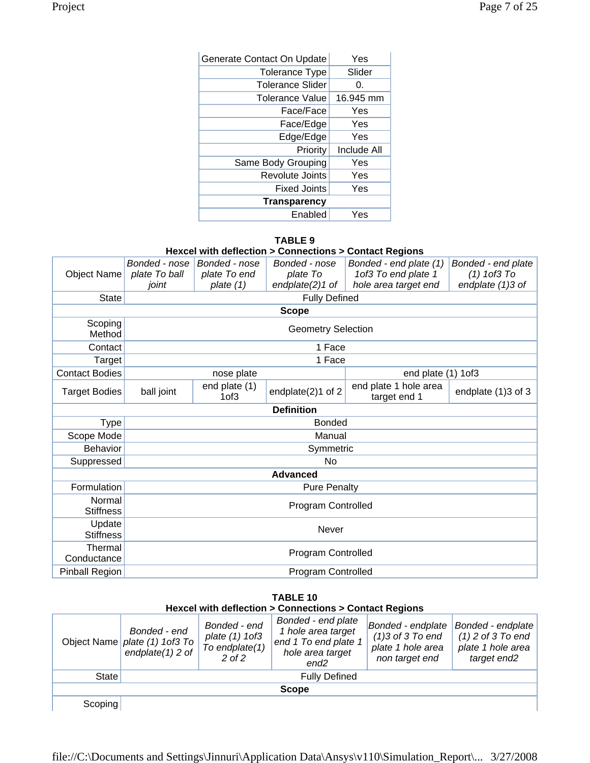| Generate Contact On Update | Yes         |
|----------------------------|-------------|
| <b>Tolerance Type</b>      | Slider      |
| <b>Tolerance Slider</b>    | 0.          |
| Tolerance Value            | 16.945 mm   |
| Face/Face                  | Yes         |
| Face/Edge                  | Yes         |
| Edge/Edge                  | Yes         |
| Priority                   | Include All |
| Same Body Grouping         | Yes         |
| Revolute Joints            | Yes         |
| <b>Fixed Joints</b>        | Yes         |
| <b>Transparency</b>        |             |
| Enabled                    | Yes         |

### **TABLE 9**

**Hexcel with deflection > Connections > Contact Regions** 

| <b>Object Name</b>         | Bonded - nose<br>plate To ball | Bonded - nose<br>plate To end     | Bonded - nose<br>plate To | Bonded - end plate (1)<br>1of3 To end plate 1 | Bonded - end plate<br>$(1)$ 1 of $3$ To |  |
|----------------------------|--------------------------------|-----------------------------------|---------------------------|-----------------------------------------------|-----------------------------------------|--|
|                            | joint                          | plate (1)                         | endplate(2)1 of           | hole area target end                          | endplate (1)3 of                        |  |
| <b>State</b>               |                                |                                   | <b>Fully Defined</b>      |                                               |                                         |  |
|                            |                                |                                   | <b>Scope</b>              |                                               |                                         |  |
| Scoping<br>Method          |                                |                                   | <b>Geometry Selection</b> |                                               |                                         |  |
| Contact                    |                                |                                   | 1 Face                    |                                               |                                         |  |
| Target                     |                                |                                   | 1 Face                    |                                               |                                         |  |
| <b>Contact Bodies</b>      |                                | nose plate                        |                           | end plate (1) 1of3                            |                                         |  |
| <b>Target Bodies</b>       | ball joint                     | end plate (1)<br>1 <sub>of3</sub> | endplate(2)1 of 2         | end plate 1 hole area<br>target end 1         | endplate (1)3 of 3                      |  |
|                            |                                |                                   | <b>Definition</b>         |                                               |                                         |  |
| Type                       |                                |                                   | <b>Bonded</b>             |                                               |                                         |  |
| Scope Mode                 |                                |                                   | Manual                    |                                               |                                         |  |
| <b>Behavior</b>            |                                |                                   | Symmetric                 |                                               |                                         |  |
| Suppressed                 |                                |                                   | No                        |                                               |                                         |  |
|                            |                                |                                   | <b>Advanced</b>           |                                               |                                         |  |
| Formulation                |                                |                                   | <b>Pure Penalty</b>       |                                               |                                         |  |
| Normal<br><b>Stiffness</b> |                                | Program Controlled                |                           |                                               |                                         |  |
| Update<br><b>Stiffness</b> |                                |                                   | Never                     |                                               |                                         |  |
| Thermal<br>Conductance     |                                | Program Controlled                |                           |                                               |                                         |  |
| Pinball Region             |                                |                                   | Program Controlled        |                                               |                                         |  |

### **TABLE 10 Hexcel with deflection > Connections > Contact Regions**

|         | Bonded - end<br>Object Name <i>plate</i> (1) 1of3 To<br>endplate $(1)$ 2 of | Bonded - end<br>plate (1) 1of3<br>To endplate(1)<br>$2$ of $2$ | Bonded - end plate<br>1 hole area target<br>end 1 To end plate 1<br>hole area target<br>end2 | Bonded - endplate<br>$(1)3$ of 3 To end<br>plate 1 hole area<br>non target end | Bonded - endplate<br>$(1)$ 2 of 3 To end<br>plate 1 hole area<br>target end <sub>2</sub> |
|---------|-----------------------------------------------------------------------------|----------------------------------------------------------------|----------------------------------------------------------------------------------------------|--------------------------------------------------------------------------------|------------------------------------------------------------------------------------------|
| State   |                                                                             |                                                                | <b>Fully Defined</b>                                                                         |                                                                                |                                                                                          |
|         |                                                                             |                                                                | <b>Scope</b>                                                                                 |                                                                                |                                                                                          |
| Scoping |                                                                             |                                                                |                                                                                              |                                                                                |                                                                                          |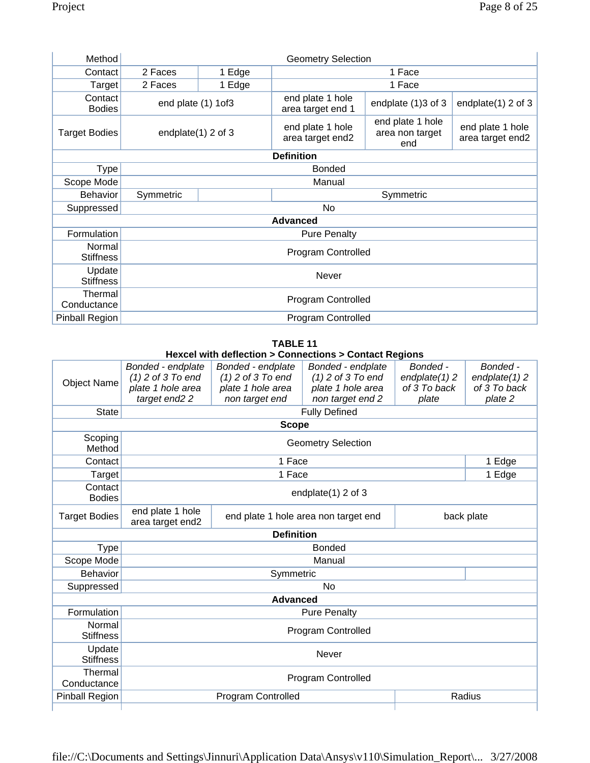| Method                     | <b>Geometry Selection</b> |           |                                       |                                            |                                      |
|----------------------------|---------------------------|-----------|---------------------------------------|--------------------------------------------|--------------------------------------|
| Contact                    | 2 Faces                   | 1 Edge    | 1 Face                                |                                            |                                      |
| Target                     | 2 Faces                   | 1 Edge    |                                       | 1 Face                                     |                                      |
| Contact<br><b>Bodies</b>   | end plate (1) 1of3        |           | end plate 1 hole<br>area target end 1 | endplate (1)3 of 3                         | endplate(1) 2 of 3                   |
| <b>Target Bodies</b>       | endplate $(1)$ 2 of 3     |           | end plate 1 hole<br>area target end2  | end plate 1 hole<br>area non target<br>end | end plate 1 hole<br>area target end2 |
|                            |                           |           | <b>Definition</b>                     |                                            |                                      |
| Type                       |                           |           | <b>Bonded</b>                         |                                            |                                      |
| Scope Mode                 |                           |           | Manual                                |                                            |                                      |
| <b>Behavior</b>            | Symmetric                 | Symmetric |                                       |                                            |                                      |
|                            | No                        |           |                                       |                                            |                                      |
| Suppressed                 |                           |           |                                       |                                            |                                      |
|                            |                           |           | <b>Advanced</b>                       |                                            |                                      |
| Formulation                |                           |           | <b>Pure Penalty</b>                   |                                            |                                      |
| Normal<br><b>Stiffness</b> |                           |           | Program Controlled                    |                                            |                                      |
| Update<br><b>Stiffness</b> |                           |           | Never                                 |                                            |                                      |
| Thermal<br>Conductance     |                           |           | Program Controlled                    |                                            |                                      |

## **TABLE 11**

## **Hexcel with deflection > Connections > Contact Regions**

| <b>Object Name</b>         | Bonded - endplate<br>$(1)$ 2 of 3 To end<br>plate 1 hole area<br>target end <sub>2</sub> 2 | Bonded - endplate<br>$(1)$ 2 of 3 To end<br>plate 1 hole area<br>non target end | Bonded - endplate<br>$(1)$ 2 of 3 To end<br>plate 1 hole area<br>non target end 2 | Bonded -<br>$endplate(1)$ 2<br>of 3 To back<br>plate | Bonded -<br>endplate $(1)$ 2<br>of 3 To back<br>plate 2 |  |
|----------------------------|--------------------------------------------------------------------------------------------|---------------------------------------------------------------------------------|-----------------------------------------------------------------------------------|------------------------------------------------------|---------------------------------------------------------|--|
| <b>State</b>               |                                                                                            |                                                                                 | <b>Fully Defined</b>                                                              |                                                      |                                                         |  |
| <b>Scope</b>               |                                                                                            |                                                                                 |                                                                                   |                                                      |                                                         |  |
| Scoping<br>Method          |                                                                                            |                                                                                 | <b>Geometry Selection</b>                                                         |                                                      |                                                         |  |
| Contact                    |                                                                                            | 1 Face                                                                          |                                                                                   |                                                      | 1 Edge                                                  |  |
| Target                     |                                                                                            | 1 Face                                                                          |                                                                                   |                                                      | 1 Edge                                                  |  |
| Contact<br><b>Bodies</b>   |                                                                                            | endplate(1) 2 of 3                                                              |                                                                                   |                                                      |                                                         |  |
| <b>Target Bodies</b>       | end plate 1 hole<br>area target end2                                                       | end plate 1 hole area non target end                                            |                                                                                   |                                                      | back plate                                              |  |
|                            |                                                                                            | <b>Definition</b>                                                               |                                                                                   |                                                      |                                                         |  |
| <b>Type</b>                |                                                                                            |                                                                                 | <b>Bonded</b>                                                                     |                                                      |                                                         |  |
| Scope Mode                 |                                                                                            |                                                                                 | Manual                                                                            |                                                      |                                                         |  |
| <b>Behavior</b>            |                                                                                            | Symmetric                                                                       |                                                                                   |                                                      |                                                         |  |
| Suppressed                 |                                                                                            | <b>No</b>                                                                       |                                                                                   |                                                      |                                                         |  |
|                            |                                                                                            | <b>Advanced</b>                                                                 |                                                                                   |                                                      |                                                         |  |
| Formulation                |                                                                                            |                                                                                 | <b>Pure Penalty</b>                                                               |                                                      |                                                         |  |
| Normal<br><b>Stiffness</b> |                                                                                            | Program Controlled                                                              |                                                                                   |                                                      |                                                         |  |
| Update<br><b>Stiffness</b> |                                                                                            |                                                                                 | Never                                                                             |                                                      |                                                         |  |
| Thermal<br>Conductance     |                                                                                            |                                                                                 | Program Controlled                                                                |                                                      |                                                         |  |
| <b>Pinball Region</b>      |                                                                                            | Program Controlled                                                              |                                                                                   |                                                      | Radius                                                  |  |
|                            |                                                                                            |                                                                                 |                                                                                   |                                                      |                                                         |  |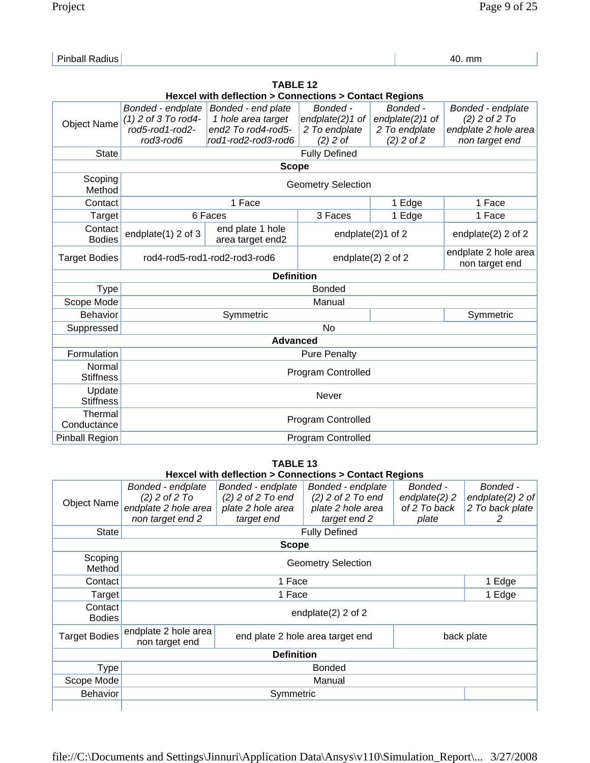| D. | 40. mm |
|----|--------|
|    |        |

|                            | <b>TABLE 12</b>                                                     |                                                                     |                           |                   |                                        |  |  |
|----------------------------|---------------------------------------------------------------------|---------------------------------------------------------------------|---------------------------|-------------------|----------------------------------------|--|--|
|                            | <b>Hexcel with deflection &gt; Connections &gt; Contact Regions</b> |                                                                     |                           |                   |                                        |  |  |
|                            | Bonded - endplate                                                   | Bonded - end plate                                                  | Bonded -                  | Bonded -          | Bonded - endplate                      |  |  |
| <b>Object Name</b>         | $(1)$ 2 of 3 To rod4-                                               | 1 hole area target                                                  | endplate(2)1 of           | endplate(2)1 of   | $(2)$ 2 of 2 To                        |  |  |
|                            | rod5-rod1-rod2-                                                     | end <sub>2</sub> To rod <sub>4</sub> -rod <sub>5</sub> -            | 2 To endplate             | 2 To endplate     | endplate 2 hole area                   |  |  |
|                            | rod3-rod6                                                           | rod1-rod2-rod3-rod6<br>$(2)$ 2 of<br>$(2)$ 2 of 2<br>non target end |                           |                   |                                        |  |  |
| <b>State</b>               |                                                                     |                                                                     | <b>Fully Defined</b>      |                   |                                        |  |  |
|                            |                                                                     | <b>Scope</b>                                                        |                           |                   |                                        |  |  |
| Scoping<br>Method          |                                                                     |                                                                     | <b>Geometry Selection</b> |                   |                                        |  |  |
| Contact                    |                                                                     | 1 Face                                                              |                           | 1 Edge            | 1 Face                                 |  |  |
| Target                     |                                                                     | 6 Faces                                                             | 3 Faces                   | 1 Edge            | 1 Face                                 |  |  |
| Contact<br><b>Bodies</b>   | endplate(1) 2 of 3                                                  | end plate 1 hole<br>area target end2                                |                           | endplate(2)1 of 2 | endplate(2) 2 of 2                     |  |  |
| <b>Target Bodies</b>       |                                                                     | rod4-rod5-rod1-rod2-rod3-rod6<br>endplate(2) 2 of 2                 |                           |                   | endplate 2 hole area<br>non target end |  |  |
|                            |                                                                     | <b>Definition</b>                                                   |                           |                   |                                        |  |  |
| <b>Type</b>                |                                                                     |                                                                     | <b>Bonded</b>             |                   |                                        |  |  |
| Scope Mode                 |                                                                     |                                                                     | Manual                    |                   |                                        |  |  |
| <b>Behavior</b>            |                                                                     | Symmetric                                                           |                           |                   | Symmetric                              |  |  |
| Suppressed                 |                                                                     |                                                                     | No                        |                   |                                        |  |  |
|                            |                                                                     | <b>Advanced</b>                                                     |                           |                   |                                        |  |  |
| Formulation                |                                                                     |                                                                     | <b>Pure Penalty</b>       |                   |                                        |  |  |
| Normal<br><b>Stiffness</b> |                                                                     |                                                                     | <b>Program Controlled</b> |                   |                                        |  |  |
| Update<br><b>Stiffness</b> |                                                                     | Never                                                               |                           |                   |                                        |  |  |
| Thermal<br>Conductance     |                                                                     |                                                                     | <b>Program Controlled</b> |                   |                                        |  |  |
| <b>Pinball Region</b>      |                                                                     |                                                                     | <b>Program Controlled</b> |                   |                                        |  |  |

### **TABLE 13 Hexcel with deflection > Connections > Contact Regions**

| Object Name              | Bonded - endplate<br>$(2)$ 2 of 2 To<br>endplate 2 hole area<br>non target end 2         | Bonded - endplate<br>$(2)$ 2 of 2 To end<br>plate 2 hole area<br>target end | Bonded - endplate<br>$(2)$ 2 of 2 To end<br>plate 2 hole area<br>target end 2 | Bonded -<br>endplate $(2)$ 2<br>of 2 To back<br>plate | Bonded -<br>endplate $(2)$ 2 of<br>2 To back plate<br>2 |  |
|--------------------------|------------------------------------------------------------------------------------------|-----------------------------------------------------------------------------|-------------------------------------------------------------------------------|-------------------------------------------------------|---------------------------------------------------------|--|
| State                    |                                                                                          |                                                                             | <b>Fully Defined</b>                                                          |                                                       |                                                         |  |
|                          |                                                                                          | <b>Scope</b>                                                                |                                                                               |                                                       |                                                         |  |
| Method                   | Scoping<br><b>Geometry Selection</b>                                                     |                                                                             |                                                                               |                                                       |                                                         |  |
| Contact                  |                                                                                          | 1 Face                                                                      |                                                                               |                                                       | 1 Edge                                                  |  |
| Target                   |                                                                                          | 1 Face                                                                      |                                                                               |                                                       | 1 Edge                                                  |  |
| Contact<br><b>Bodies</b> |                                                                                          | endplate $(2)$ 2 of 2                                                       |                                                                               |                                                       |                                                         |  |
| <b>Target Bodies</b>     | endplate 2 hole area<br>end plate 2 hole area target end<br>back plate<br>non target end |                                                                             |                                                                               |                                                       |                                                         |  |
|                          |                                                                                          | <b>Definition</b>                                                           |                                                                               |                                                       |                                                         |  |
| <b>Type</b>              |                                                                                          |                                                                             | <b>Bonded</b>                                                                 |                                                       |                                                         |  |
| Scope Mode               |                                                                                          |                                                                             | Manual                                                                        |                                                       |                                                         |  |
| <b>Behavior</b>          |                                                                                          | Symmetric                                                                   |                                                                               |                                                       |                                                         |  |
|                          |                                                                                          |                                                                             |                                                                               |                                                       |                                                         |  |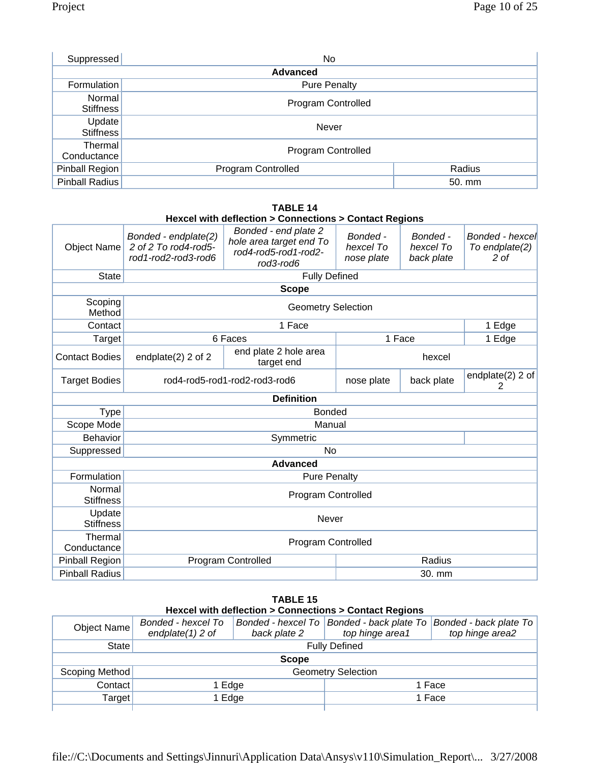| Suppressed             | No                        |        |  |  |
|------------------------|---------------------------|--------|--|--|
| <b>Advanced</b>        |                           |        |  |  |
| Formulation            | <b>Pure Penalty</b>       |        |  |  |
| Normal<br>Stiffness    | <b>Program Controlled</b> |        |  |  |
| Update<br>Stiffness    | Never                     |        |  |  |
| Thermal<br>Conductance | <b>Program Controlled</b> |        |  |  |
| Pinball Region         | <b>Program Controlled</b> | Radius |  |  |
| Pinball Radius         |                           | 50. mm |  |  |

#### **TABLE 14 Hexcel with deflection > Connections > Contact Regions**

| Object Name                | Bonded - endplate(2)<br>2 of 2 To rod4-rod5-<br>rod1-rod2-rod3-rod6 | Bonded - end plate 2<br>hole area target end To<br>rod4-rod5-rod1-rod2-<br>rod3-rod6 | Bonded -<br>hexcel To<br>nose plate | Bonded -<br>hexcel To<br>back plate | Bonded - hexcel<br>To endplate(2)<br>2 of |
|----------------------------|---------------------------------------------------------------------|--------------------------------------------------------------------------------------|-------------------------------------|-------------------------------------|-------------------------------------------|
| <b>State</b>               |                                                                     | <b>Fully Defined</b>                                                                 |                                     |                                     |                                           |
|                            |                                                                     | <b>Scope</b>                                                                         |                                     |                                     |                                           |
| Scoping<br>Method          |                                                                     | <b>Geometry Selection</b>                                                            |                                     |                                     |                                           |
| Contact                    |                                                                     | 1 Face                                                                               |                                     |                                     | 1 Edge                                    |
| Target                     |                                                                     | 6 Faces                                                                              |                                     | 1 Face                              | 1 Edge                                    |
| <b>Contact Bodies</b>      | endplate $(2)$ 2 of 2                                               | end plate 2 hole area<br>target end                                                  | hexcel                              |                                     |                                           |
| <b>Target Bodies</b>       | rod4-rod5-rod1-rod2-rod3-rod6                                       |                                                                                      | nose plate                          | back plate                          | endplate(2) 2 of<br>2                     |
|                            |                                                                     | <b>Definition</b>                                                                    |                                     |                                     |                                           |
| <b>Type</b>                |                                                                     | <b>Bonded</b>                                                                        |                                     |                                     |                                           |
| Scope Mode                 |                                                                     | Manual                                                                               |                                     |                                     |                                           |
| <b>Behavior</b>            |                                                                     | Symmetric                                                                            |                                     |                                     |                                           |
| Suppressed                 |                                                                     | <b>No</b>                                                                            |                                     |                                     |                                           |
|                            |                                                                     | <b>Advanced</b>                                                                      |                                     |                                     |                                           |
| Formulation                |                                                                     | <b>Pure Penalty</b>                                                                  |                                     |                                     |                                           |
| Normal<br><b>Stiffness</b> |                                                                     | <b>Program Controlled</b>                                                            |                                     |                                     |                                           |
| Update<br><b>Stiffness</b> |                                                                     | Never                                                                                |                                     |                                     |                                           |
| Thermal<br>Conductance     |                                                                     | Program Controlled                                                                   |                                     |                                     |                                           |
| Pinball Region             |                                                                     | <b>Program Controlled</b>                                                            |                                     | Radius                              |                                           |
| <b>Pinball Radius</b>      |                                                                     |                                                                                      |                                     | 30. mm                              |                                           |

#### **TABLE 15 Hexcel with deflection > Connections > Contact Regions**

| Object Name    | Bonded - hexcel To<br>endplate $(1)$ 2 of | back plate 2         | top hinge area1 | Bonded - hexcel To   Bonded - back plate To   Bonded - back plate To<br>top hinge area2 |  |  |
|----------------|-------------------------------------------|----------------------|-----------------|-----------------------------------------------------------------------------------------|--|--|
| State          |                                           | <b>Fully Defined</b> |                 |                                                                                         |  |  |
| <b>Scope</b>   |                                           |                      |                 |                                                                                         |  |  |
| Scoping Method | <b>Geometry Selection</b>                 |                      |                 |                                                                                         |  |  |
| Contact        | 1 Edge<br>1 Face                          |                      |                 |                                                                                         |  |  |
| Target         | 1 Edge                                    |                      | 1 Face          |                                                                                         |  |  |
|                |                                           |                      |                 |                                                                                         |  |  |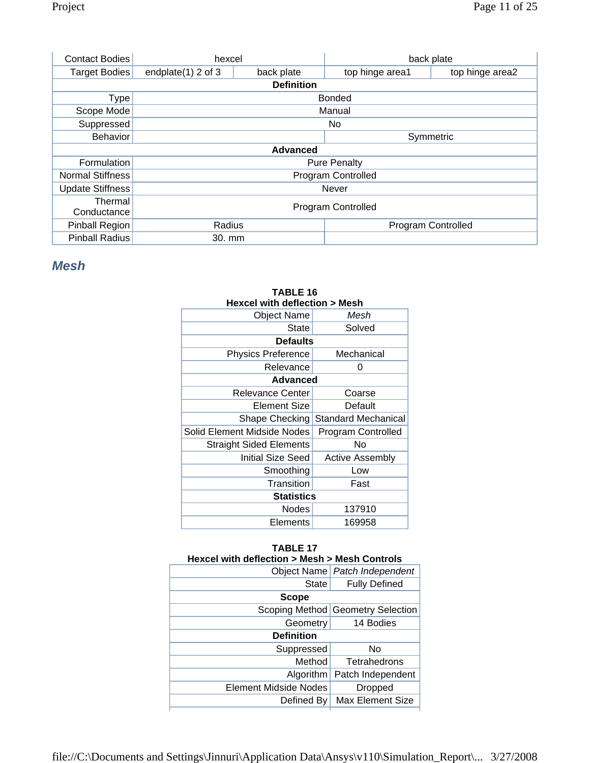| <b>Contact Bodies</b>   | hexcel                              |                   | back plate      |                 |
|-------------------------|-------------------------------------|-------------------|-----------------|-----------------|
| Target Bodies           | endplate $(1)$ 2 of 3               | back plate        | top hinge area1 | top hinge area2 |
|                         |                                     | <b>Definition</b> |                 |                 |
| Type                    |                                     |                   | <b>Bonded</b>   |                 |
| Scope Mode              |                                     |                   | Manual          |                 |
| Suppressed              |                                     |                   | No.             |                 |
| Behavior                | Symmetric                           |                   |                 |                 |
|                         |                                     | <b>Advanced</b>   |                 |                 |
| Formulation             | <b>Pure Penalty</b>                 |                   |                 |                 |
| <b>Normal Stiffness</b> | <b>Program Controlled</b>           |                   |                 |                 |
| <b>Update Stiffness</b> | Never                               |                   |                 |                 |
| Thermal                 | <b>Program Controlled</b>           |                   |                 |                 |
| Conductance             |                                     |                   |                 |                 |
| <b>Pinball Region</b>   | Radius<br><b>Program Controlled</b> |                   |                 |                 |
| <b>Pinball Radius</b>   | 30. mm                              |                   |                 |                 |

## *Mesh*

| <b>Hexcel with deflection &gt; Mesh</b> |                        |  |  |  |
|-----------------------------------------|------------------------|--|--|--|
| <b>Object Name</b>                      | Mesh                   |  |  |  |
| State                                   | Solved                 |  |  |  |
| <b>Defaults</b>                         |                        |  |  |  |
| <b>Physics Preference</b>               | Mechanical             |  |  |  |
| Relevance                               | 0                      |  |  |  |
| <b>Advanced</b>                         |                        |  |  |  |
| <b>Relevance Center</b>                 | Coarse                 |  |  |  |
| Element Size                            | Default                |  |  |  |
| Shape Checking                          | Standard Mechanical    |  |  |  |
| Solid Element Midside Nodes             | Program Controlled     |  |  |  |
| <b>Straight Sided Elements</b>          | No                     |  |  |  |
| Initial Size Seed                       | <b>Active Assembly</b> |  |  |  |
| Smoothing                               | Low                    |  |  |  |
| Transition                              | Fast                   |  |  |  |
| <b>Statistics</b>                       |                        |  |  |  |
| <b>Nodes</b>                            | 137910                 |  |  |  |
| Elements                                | 169958                 |  |  |  |
|                                         |                        |  |  |  |

# **TABLE 16**

## **TABLE 17**

| Hexcel with deflection > Mesh > Mesh Controls |                                   |  |  |  |  |
|-----------------------------------------------|-----------------------------------|--|--|--|--|
|                                               | Object Name   Patch Independent   |  |  |  |  |
| <b>State</b>                                  | <b>Fully Defined</b>              |  |  |  |  |
| <b>Scope</b>                                  |                                   |  |  |  |  |
|                                               | Scoping Method Geometry Selection |  |  |  |  |
| Geometry                                      | 14 Bodies                         |  |  |  |  |
| <b>Definition</b>                             |                                   |  |  |  |  |
| Suppressed                                    | No                                |  |  |  |  |
| Method                                        | Tetrahedrons                      |  |  |  |  |
| Algorithm                                     | Patch Independent                 |  |  |  |  |
| <b>Element Midside Nodes</b>                  | <b>Dropped</b>                    |  |  |  |  |
| Defined By                                    | <b>Max Element Size</b>           |  |  |  |  |
|                                               |                                   |  |  |  |  |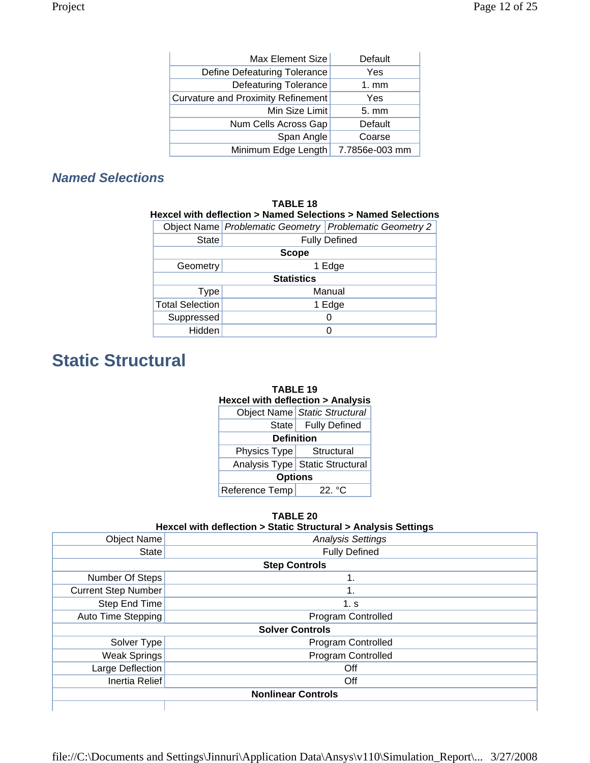| Max Element Size                          | Default        |  |
|-------------------------------------------|----------------|--|
| Define Defeaturing Tolerance              | Yes            |  |
| <b>Defeaturing Tolerance</b>              | $1. \text{mm}$ |  |
| <b>Curvature and Proximity Refinement</b> | Yes            |  |
| Min Size Limit                            | 5. mm          |  |
| Num Cells Across Gap                      | Default        |  |
| Span Angle                                | Coarse         |  |
| Minimum Edge Length                       | 7.7856e-003 mm |  |

## *Named Selections*

| <b>TABLE 18</b><br>Hexcel with deflection > Named Selections > Named Selections |        |                                                         |  |  |
|---------------------------------------------------------------------------------|--------|---------------------------------------------------------|--|--|
|                                                                                 |        | Object Name Problematic Geometry Problematic Geometry 2 |  |  |
| State                                                                           |        | <b>Fully Defined</b>                                    |  |  |
| Scope                                                                           |        |                                                         |  |  |
| Geometry                                                                        | 1 Edge |                                                         |  |  |
| <b>Statistics</b>                                                               |        |                                                         |  |  |
| Type                                                                            |        | Manual                                                  |  |  |
| <b>Total Selection</b>                                                          |        | 1 Edge                                                  |  |  |
| Suppressed                                                                      |        |                                                         |  |  |
| Hidden                                                                          |        | O                                                       |  |  |

# **Static Structural**

| TABLE 19                                    |                                   |  |  |  |
|---------------------------------------------|-----------------------------------|--|--|--|
| <b>Hexcel with deflection &gt; Analysis</b> |                                   |  |  |  |
|                                             | Object Name Static Structural     |  |  |  |
|                                             | State   Fully Defined             |  |  |  |
| <b>Definition</b>                           |                                   |  |  |  |
| Physics Type Structural                     |                                   |  |  |  |
|                                             | Analysis Type   Static Structural |  |  |  |
| <b>Options</b>                              |                                   |  |  |  |
| Reference Temp                              | 22 °C                             |  |  |  |

**TABLE 20** 

### **Hexcel with deflection > Static Structural > Analysis Settings**

| <b>Object Name</b>        | <b>Analysis Settings</b>  |  |  |  |  |
|---------------------------|---------------------------|--|--|--|--|
| State                     | <b>Fully Defined</b>      |  |  |  |  |
|                           | <b>Step Controls</b>      |  |  |  |  |
| Number Of Steps           | 1.                        |  |  |  |  |
| Current Step Number       | 1.                        |  |  |  |  |
| Step End Time             | 1. s                      |  |  |  |  |
| Auto Time Stepping        | Program Controlled        |  |  |  |  |
|                           | <b>Solver Controls</b>    |  |  |  |  |
| Solver Type               | <b>Program Controlled</b> |  |  |  |  |
| Weak Springs              | Program Controlled        |  |  |  |  |
| Large Deflection          | Off                       |  |  |  |  |
| Inertia Relief            | Off                       |  |  |  |  |
| <b>Nonlinear Controls</b> |                           |  |  |  |  |
|                           |                           |  |  |  |  |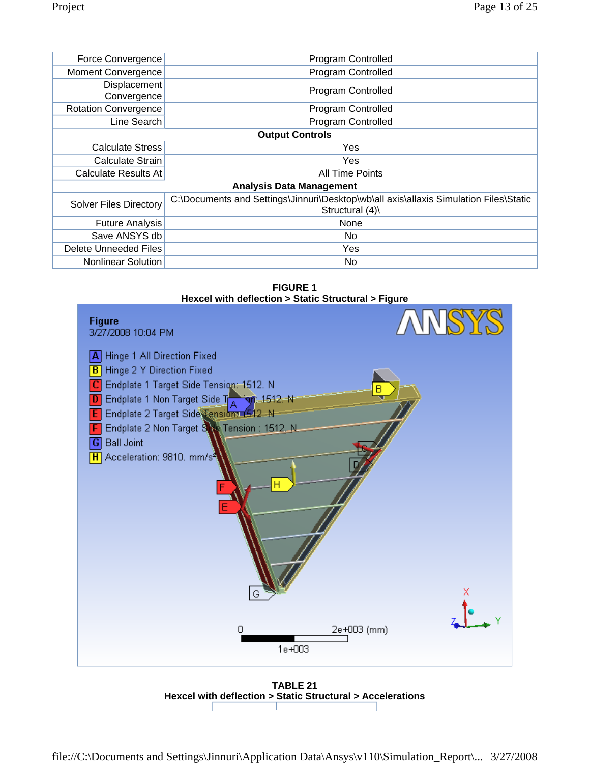| Force Convergence             | <b>Program Controlled</b>                                                                                |  |  |
|-------------------------------|----------------------------------------------------------------------------------------------------------|--|--|
| <b>Moment Convergence</b>     | Program Controlled                                                                                       |  |  |
| Displacement<br>Convergence   | Program Controlled                                                                                       |  |  |
| <b>Rotation Convergence</b>   | Program Controlled                                                                                       |  |  |
| Line Search                   | Program Controlled                                                                                       |  |  |
|                               | <b>Output Controls</b>                                                                                   |  |  |
| <b>Calculate Stress</b>       | Yes                                                                                                      |  |  |
| Calculate Strain              | Yes                                                                                                      |  |  |
| <b>Calculate Results At</b>   | <b>All Time Points</b>                                                                                   |  |  |
|                               | <b>Analysis Data Management</b>                                                                          |  |  |
| <b>Solver Files Directory</b> | C:\Documents and Settings\Jinnuri\Desktop\wb\all axis\allaxis Simulation Files\Static<br>Structural (4)\ |  |  |
| <b>Future Analysis</b>        | None                                                                                                     |  |  |
| Save ANSYS db                 | No.                                                                                                      |  |  |
| Delete Unneeded Files         | Yes                                                                                                      |  |  |
| Nonlinear Solution            | No.                                                                                                      |  |  |

**FIGURE 1 Hexcel with deflection > Static Structural > Figure** 



**TABLE 21 Hexcel with deflection > Static Structural > Accelerations**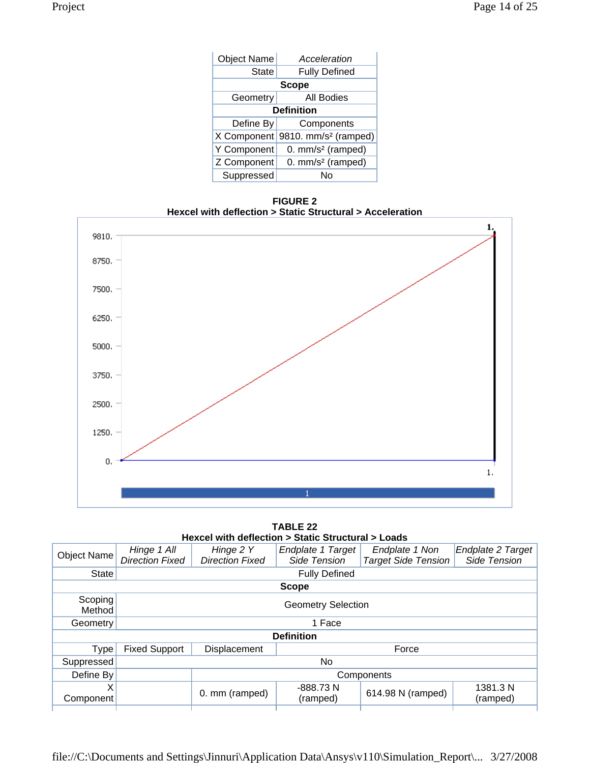| <b>Object Name</b> | Acceleration                     |  |  |
|--------------------|----------------------------------|--|--|
| <b>State</b>       | <b>Fully Defined</b>             |  |  |
|                    | <b>Scope</b>                     |  |  |
| Geometry           | <b>All Bodies</b>                |  |  |
| <b>Definition</b>  |                                  |  |  |
| Define By          | Components                       |  |  |
| X Component        | 9810. mm/s <sup>2</sup> (ramped) |  |  |
| Y Component        | 0. mm/s <sup>2</sup> (ramped)    |  |  |
| Z Component        | 0. mm/s <sup>2</sup> (ramped)    |  |  |
| Suppressed         |                                  |  |  |

**FIGURE 2 Hexcel with deflection > Static Structural > Acceleration** 



**TABLE 22 Hexcel with deflection > Static Structural > Loads** 

| $100000$ with achiection $\geq 0$ tatic Otractarar $\geq 0$ ado |                        |                        |                           |                            |                          |
|-----------------------------------------------------------------|------------------------|------------------------|---------------------------|----------------------------|--------------------------|
| Object Name                                                     | Hinge 1 All            | Hinge 2 Y              | Endplate 1 Target         | Endplate 1 Non             | <b>Endplate 2 Target</b> |
|                                                                 | <b>Direction Fixed</b> | <b>Direction Fixed</b> | Side Tension              | <b>Target Side Tension</b> | Side Tension             |
| <b>State</b>                                                    |                        |                        | <b>Fully Defined</b>      |                            |                          |
|                                                                 |                        |                        | <b>Scope</b>              |                            |                          |
| Scoping<br>Method                                               |                        |                        | <b>Geometry Selection</b> |                            |                          |
| Geometry                                                        |                        | 1 Face                 |                           |                            |                          |
| <b>Definition</b>                                               |                        |                        |                           |                            |                          |
| <b>Type</b>                                                     | <b>Fixed Support</b>   | Displacement           |                           | Force                      |                          |
| Suppressed                                                      | No                     |                        |                           |                            |                          |
| Define By                                                       | Components             |                        |                           |                            |                          |
| X                                                               |                        | 0. mm (ramped)         | -888.73N                  | 614.98 N (ramped)          | 1381.3 N                 |
| Component                                                       |                        |                        | (ramped)                  |                            | (ramped)                 |
|                                                                 |                        |                        |                           |                            |                          |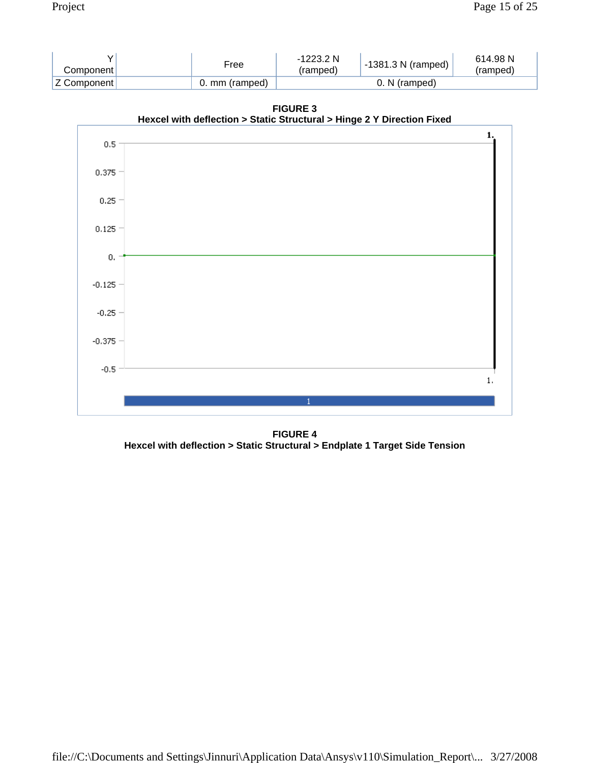| Componentl     | Free           | -1223.2 N<br>(ramped) | $-1381.3$ N (ramped) | 614.98 N<br>(ramped) |
|----------------|----------------|-----------------------|----------------------|----------------------|
| ⊦Z Component l | 0. mm (ramped) |                       | N (ramped)           |                      |

**Hexcel with deflection > Static Structural > Hinge 2 Y Direction Fixed**   $\mathbf{1}$ .  $0.5 0.375 0.25 0.125 0.$  $-0.125 -0.25 -0.375 -0.5$  $\mathbf{1}$ 

**FIGURE 3** 

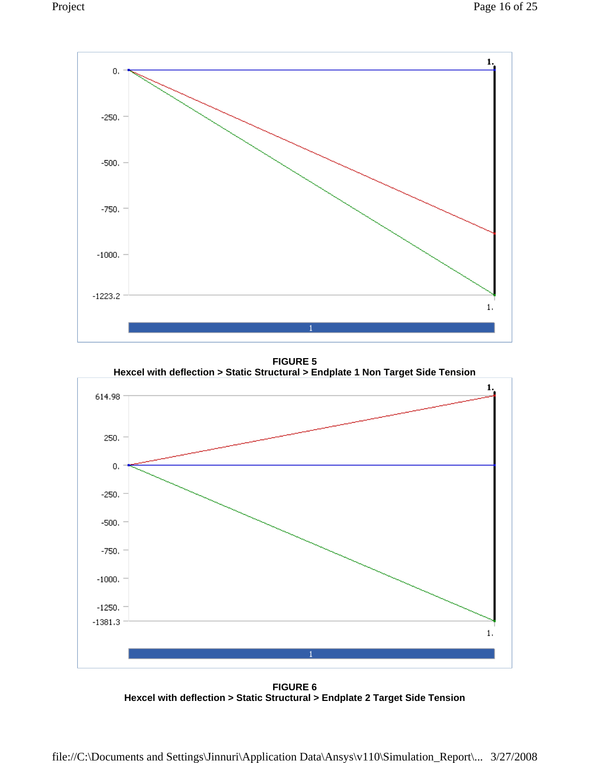

**FIGURE 5 Hexcel with deflection > Static Structural > Endplate 1 Non Target Side Tension** 



**FIGURE 6 Hexcel with deflection > Static Structural > Endplate 2 Target Side Tension**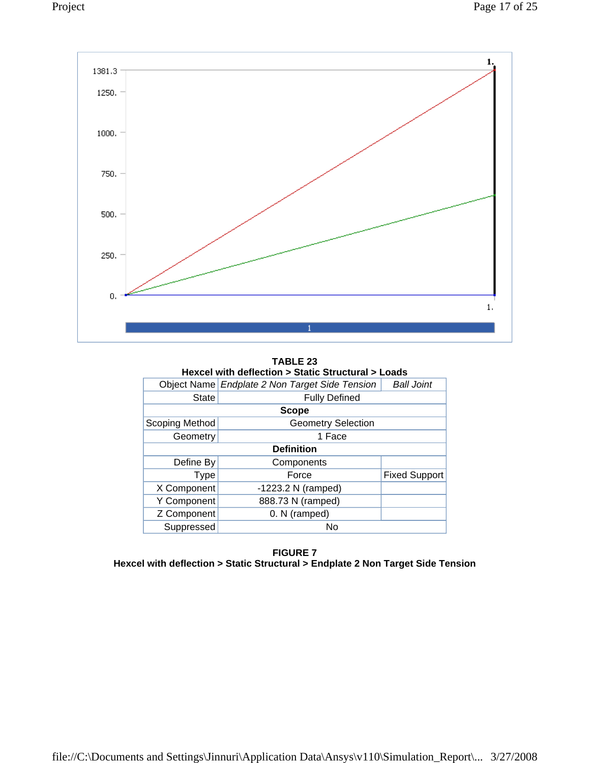

**TABLE 23 Hexcel with deflection > Static Structural > Loads** 

|                   | Object Name Endplate 2 Non Target Side Tension | <b>Ball Joint</b>    |  |  |  |
|-------------------|------------------------------------------------|----------------------|--|--|--|
| <b>State</b>      |                                                |                      |  |  |  |
|                   | <b>Scope</b>                                   |                      |  |  |  |
| Scoping Method    | <b>Geometry Selection</b>                      |                      |  |  |  |
| Geometry          | 1 Face                                         |                      |  |  |  |
| <b>Definition</b> |                                                |                      |  |  |  |
| Define By         | Components                                     |                      |  |  |  |
| <b>Type</b>       | Force                                          | <b>Fixed Support</b> |  |  |  |
| X Component       | $-1223.2$ N (ramped)                           |                      |  |  |  |
| Y Component       | 888.73 N (ramped)                              |                      |  |  |  |
| Z Component       | 0. N (ramped)                                  |                      |  |  |  |
| Suppressed        | No                                             |                      |  |  |  |

**FIGURE 7 Hexcel with deflection > Static Structural > Endplate 2 Non Target Side Tension**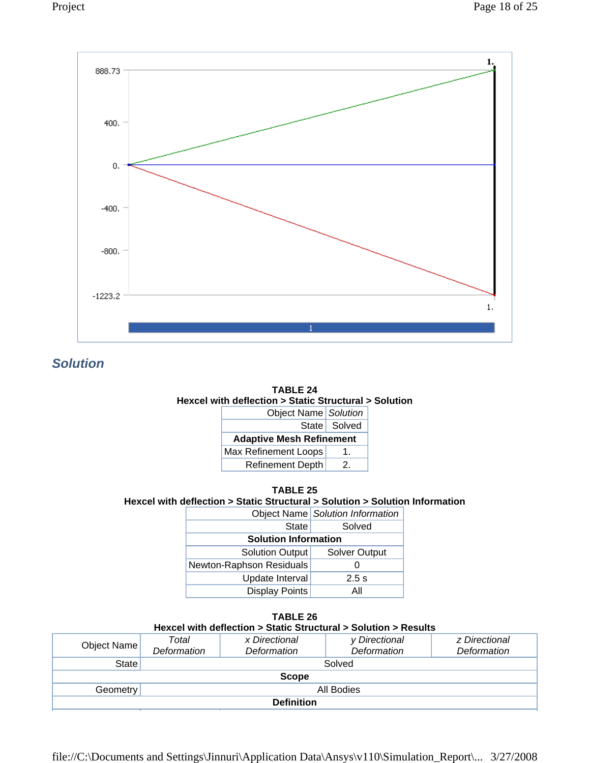



*Solution* 



| <b>TABLE 25</b>                                                              |  |
|------------------------------------------------------------------------------|--|
| Hexcel with deflection > Static Structural > Solution > Solution Information |  |

| www.composition.com/www.composition.com/www.com/www.com/www.com/www.com/www.com/ |                                  |  |
|----------------------------------------------------------------------------------|----------------------------------|--|
|                                                                                  | Object Name Solution Information |  |
| State                                                                            | Solved                           |  |
| <b>Solution Information</b>                                                      |                                  |  |
| Solution Output                                                                  | Solver Output                    |  |

| <b>Solution Output</b>   | <b>Solver Output</b> |
|--------------------------|----------------------|
| Newton-Raphson Residuals |                      |
| Update Interval          | $2.5$ s              |
| <b>Display Points</b>    | Αll                  |

| TABLE 26<br>Hexcel with deflection > Static Structural > Solution > Results |             |               |               |               |
|-----------------------------------------------------------------------------|-------------|---------------|---------------|---------------|
|                                                                             | Total       | x Directional | y Directional | z Directional |
| Object Name                                                                 | Deformation | Deformation   | Deformation   | Deformation   |
| <b>State</b><br>Solved                                                      |             |               |               |               |
| <b>Scope</b>                                                                |             |               |               |               |
| All Bodies<br>Geometry                                                      |             |               |               |               |
| <b>Definition</b>                                                           |             |               |               |               |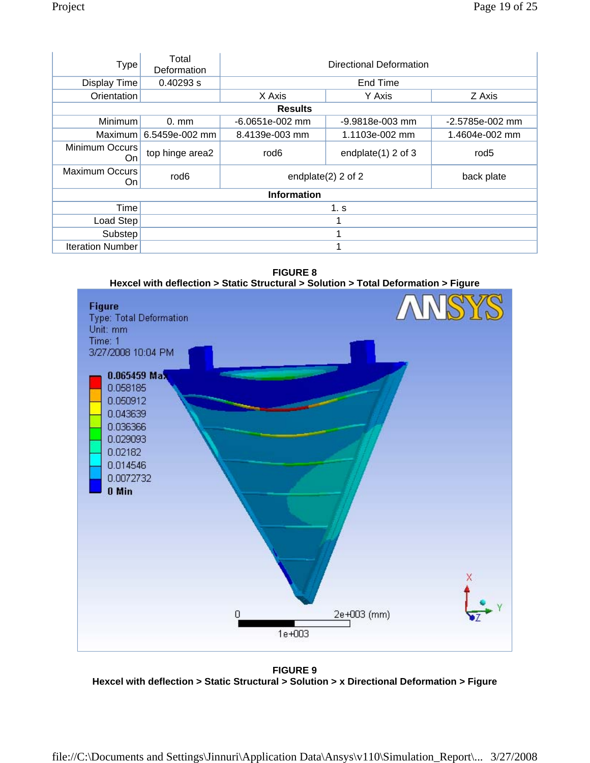| <b>Type</b>                  | Total<br>Deformation | Directional Deformation                   |                   |                  |
|------------------------------|----------------------|-------------------------------------------|-------------------|------------------|
| Display Time                 | 0.40293 s            | End Time                                  |                   |                  |
| Orientation                  |                      | X Axis                                    | Y Axis            | Z Axis           |
|                              |                      | <b>Results</b>                            |                   |                  |
| Minimum                      | $0.$ mm              | $-6.0651e-002$ mm                         | $-9.9818e-003$ mm | -2.5785e-002 mm  |
| <b>Maximum</b>               | 6.5459e-002 mm       | 8.4139e-003 mm                            | 1.1103e-002 mm    | 1.4604e-002 mm   |
| Minimum Occurs<br>On.        | top hinge area2      | rod <sub>6</sub><br>endplate $(1)$ 2 of 3 |                   | rod <sub>5</sub> |
| <b>Maximum Occurs</b><br>On. | rod <sub>6</sub>     | endplate $(2)$ 2 of 2<br>back plate       |                   |                  |
| <b>Information</b>           |                      |                                           |                   |                  |
| Time                         | 1. s                 |                                           |                   |                  |
| Load Step                    |                      |                                           |                   |                  |
| Substep                      |                      |                                           |                   |                  |
| <b>Iteration Number</b>      |                      |                                           |                   |                  |

**FIGURE 8 Hexcel with deflection > Static Structural > Solution > Total Deformation > Figure** 



**FIGURE 9 Hexcel with deflection > Static Structural > Solution > x Directional Deformation > Figure**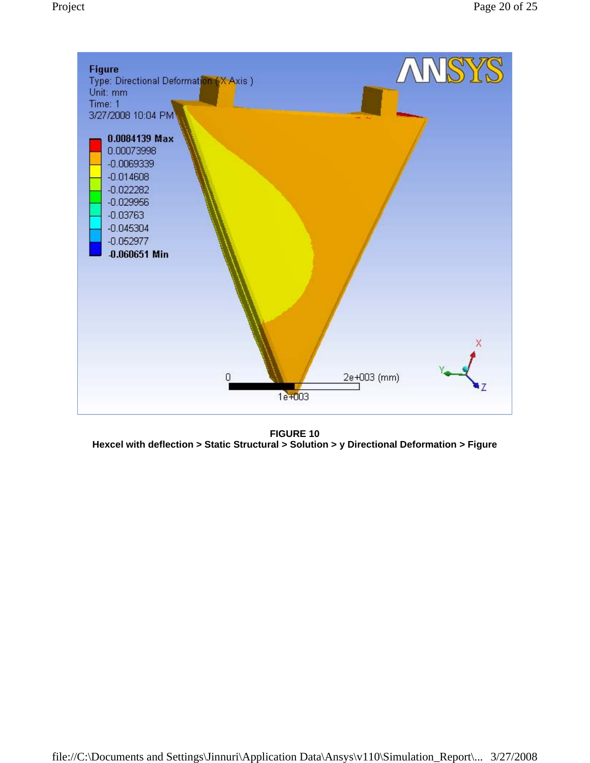

**FIGURE 10 Hexcel with deflection > Static Structural > Solution > y Directional Deformation > Figure**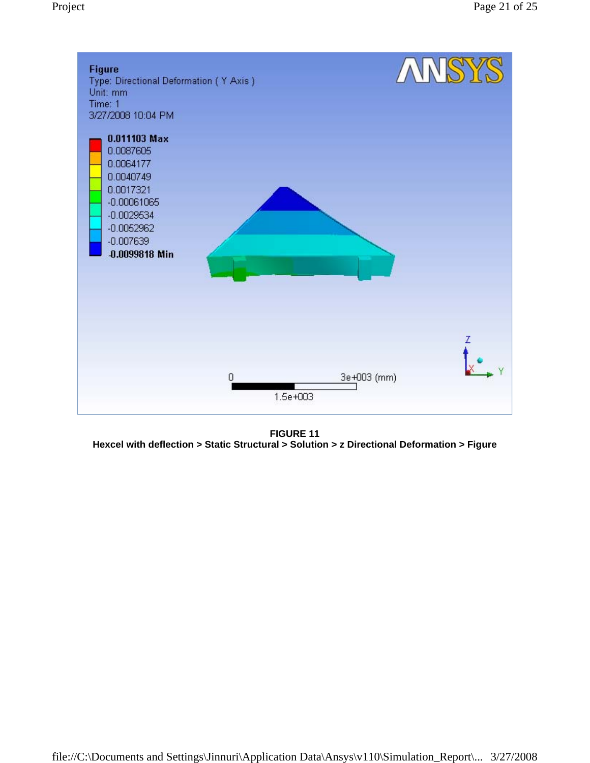

**FIGURE 11 Hexcel with deflection > Static Structural > Solution > z Directional Deformation > Figure**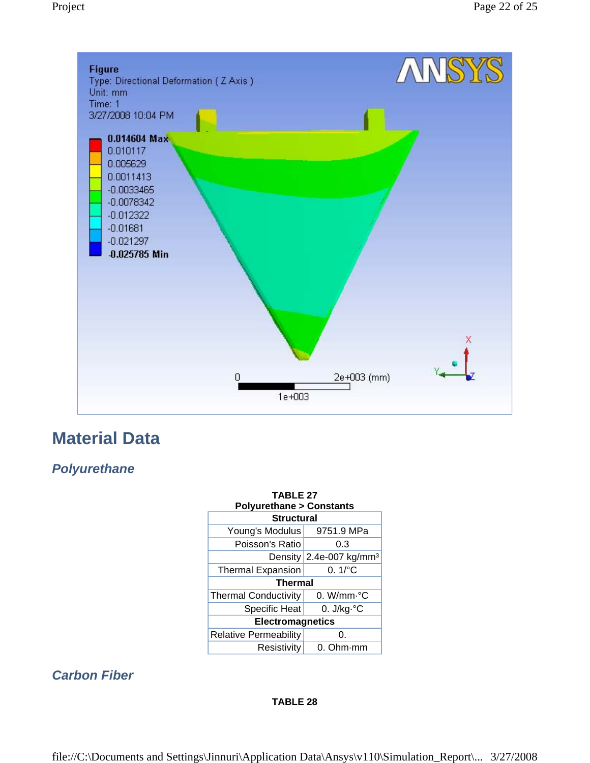

## **Material Data**

## *Polyurethane*

| <b>TABLE 27</b><br><b>Polyurethane &gt; Constants</b> |                                        |  |  |
|-------------------------------------------------------|----------------------------------------|--|--|
| <b>Structural</b>                                     |                                        |  |  |
| Young's Modulus                                       | 9751.9 MPa                             |  |  |
| Poisson's Ratio                                       | 0.3                                    |  |  |
|                                                       | Density $2.4e$ -007 kg/mm <sup>3</sup> |  |  |
| $0.1\degree$ C<br><b>Thermal Expansion</b>            |                                        |  |  |
| <b>Thermal</b>                                        |                                        |  |  |
| <b>Thermal Conductivity</b>                           | $0.$ W/mm $\cdot ^{\circ}$ C           |  |  |
| <b>Specific Heat</b>                                  | 0. $J/kg \,^{\circ}C$                  |  |  |
| <b>Electromagnetics</b>                               |                                        |  |  |
| <b>Relative Permeability</b>                          | 0.                                     |  |  |
| Resistivity                                           | 0. Ohm·mm                              |  |  |

## *Carbon Fiber*

#### **TABLE 28**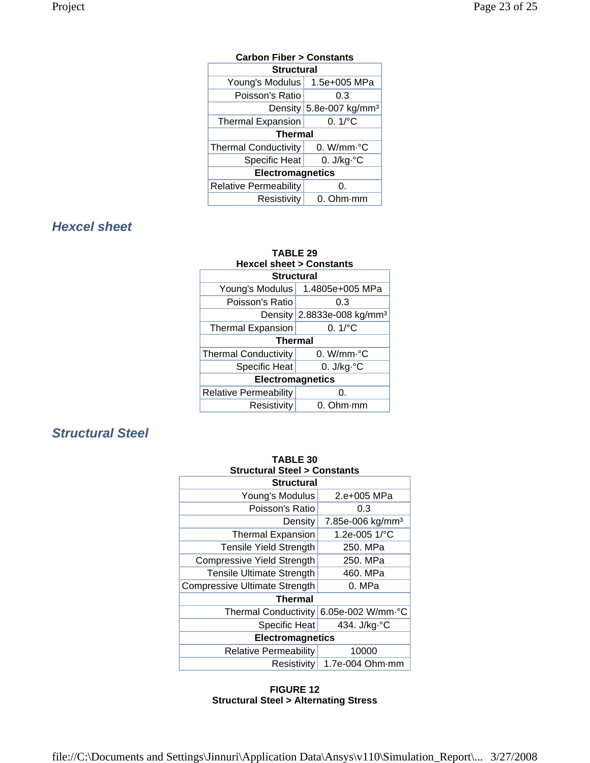| <b>Carbon Fiber &gt; Constants</b>               |                                       |  |
|--------------------------------------------------|---------------------------------------|--|
| <b>Structural</b>                                |                                       |  |
| Young's Modulus                                  | 1.5e+005 MPa                          |  |
| Poisson's Ratio                                  | 0.3                                   |  |
|                                                  | Density $5.8e-007$ kg/mm <sup>3</sup> |  |
| $0.1$ <sup>o</sup> C<br><b>Thermal Expansion</b> |                                       |  |
| <b>Thermal</b>                                   |                                       |  |
| <b>Thermal Conductivity</b>                      | 0. W/mm $\cdot$ °C                    |  |
| <b>Specific Heat</b>                             | 0. $J/kg \,^{\circ}C$                 |  |
| <b>Electromagnetics</b>                          |                                       |  |
| <b>Relative Permeability</b>                     | 0.                                    |  |
| Resistivity                                      | $0.$ Ohm $\cdot$ mm                   |  |

## *Hexcel sheet*

| <b>TABLE 29</b>                    |                                        |  |  |
|------------------------------------|----------------------------------------|--|--|
| <b>Hexcel sheet &gt; Constants</b> |                                        |  |  |
| <b>Structural</b>                  |                                        |  |  |
|                                    | Young's Modulus   1.4805e+005 MPa      |  |  |
| Poisson's Ratio                    | 0.3                                    |  |  |
|                                    | Density 2.8833e-008 kg/mm <sup>3</sup> |  |  |
| <b>Thermal Expansion</b>           | $0.1$ <sup>o</sup> C                   |  |  |
| <b>Thermal</b>                     |                                        |  |  |
| <b>Thermal Conductivity</b>        | 0. W/mm.°C                             |  |  |
| <b>Specific Heat</b>               | 0. $J/kg \,^{\circ}C$                  |  |  |
| <b>Electromagnetics</b>            |                                        |  |  |
| <b>Relative Permeability</b>       | 0.                                     |  |  |
| Resistivity                        | 0. Ohm mm                              |  |  |

## *Structural Steel*

| <b>TABLE 30</b>                        |                              |  |
|----------------------------------------|------------------------------|--|
| <b>Structural Steel &gt; Constants</b> |                              |  |
| <b>Structural</b>                      |                              |  |
| Young's Modulus                        | 2.e+005 MPa                  |  |
| Poisson's Ratio                        | 0.3                          |  |
| Density                                | 7.85e-006 kg/mm <sup>3</sup> |  |
| <b>Thermal Expansion</b>               | 1.2e-005 1/°C                |  |
| <b>Tensile Yield Strength</b>          | 250. MPa                     |  |
| <b>Compressive Yield Strength</b>      | 250. MPa                     |  |
| <b>Tensile Ultimate Strength</b>       | 460. MPa                     |  |
| <b>Compressive Ultimate Strength</b>   | 0. MPa                       |  |
| Thermal                                |                              |  |
| <b>Thermal Conductivity</b>            | 6.05e-002 W/mm.°C            |  |
| Specific Heat                          | 434. J/kg.°C                 |  |
| <b>Electromagnetics</b>                |                              |  |
| <b>Relative Permeability</b>           | 10000                        |  |
| <b>Resistivity</b>                     | $1.7e-004$ Ohm $\cdot$ mm    |  |

#### **FIGURE 12 Structural Steel > Alternating Stress**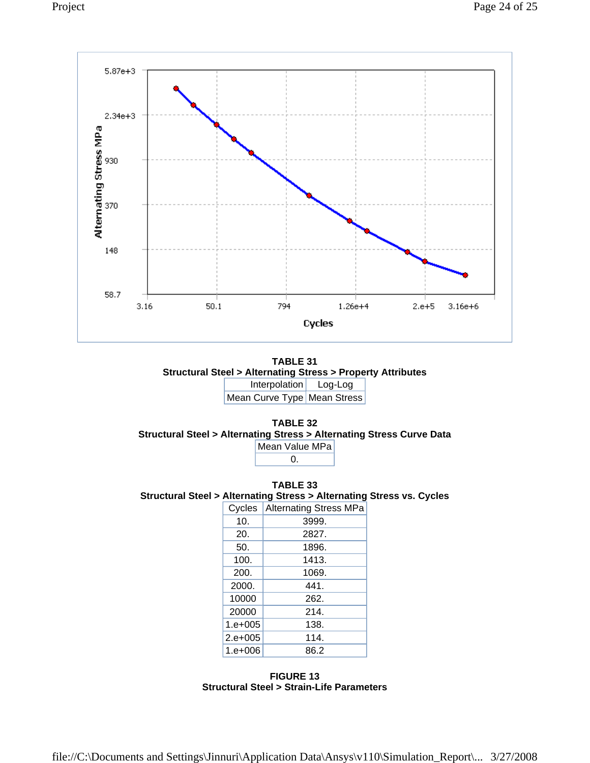





**TABLE 33 Structural Steel > Alternating Stress > Alternating Stress vs. Cycles** 

| Cycles          | <b>Alternating Stress MPa</b> |
|-----------------|-------------------------------|
| 10 <sub>1</sub> | 3999.                         |
| 20.             | 2827.                         |
| 50.             | 1896.                         |
| 100.            | 1413.                         |
| 200.            | 1069.                         |
| 2000.           | 441.                          |
| 10000           | 262.                          |
| 20000           | 214.                          |
| $1. e + 005$    | 138.                          |
| $2.e+005$       | 114.                          |
| $1. e + 006$    | 86.2                          |

**FIGURE 13 Structural Steel > Strain-Life Parameters**